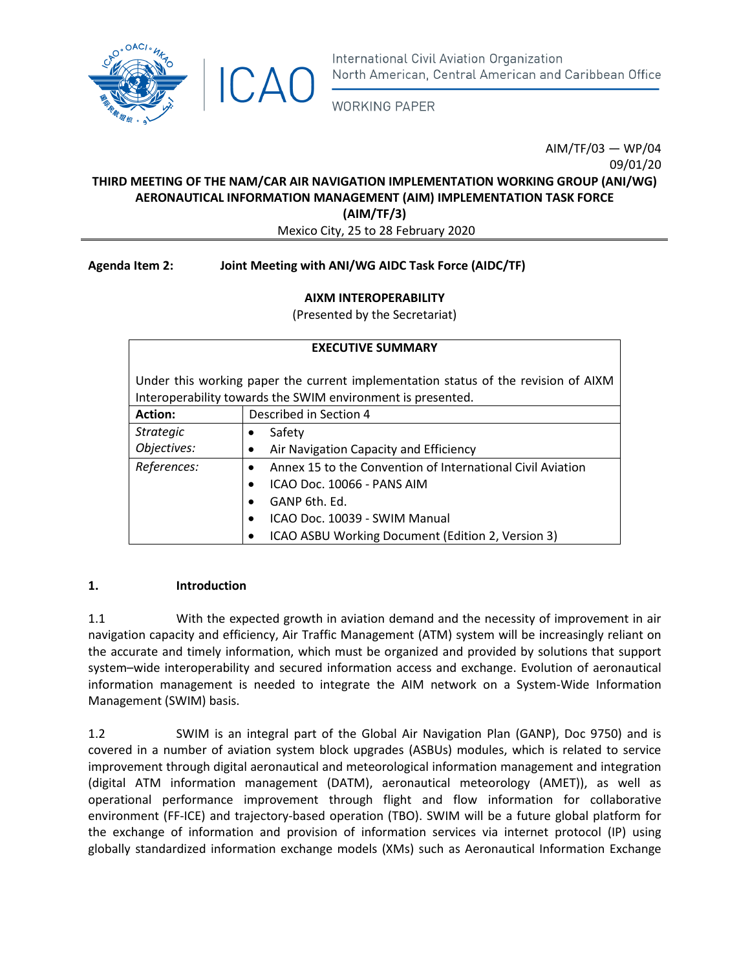

**WORKING PAPER** 

AIM/TF/03 — WP/04 09/01/20 **THIRD MEETING OF THE NAM/CAR AIR NAVIGATION IMPLEMENTATION WORKING GROUP (ANI/WG) AERONAUTICAL INFORMATION MANAGEMENT (AIM) IMPLEMENTATION TASK FORCE (AIM/TF/3)** 

Mexico City, 25 to 28 February 2020

## **Agenda Item 2: Joint Meeting with ANI/WG AIDC Task Force (AIDC/TF)**

## **AIXM INTEROPERABILITY**

(Presented by the Secretariat)

| <b>EXECUTIVE SUMMARY</b> |                                                                                                                                                   |  |  |  |  |  |
|--------------------------|---------------------------------------------------------------------------------------------------------------------------------------------------|--|--|--|--|--|
|                          | Under this working paper the current implementation status of the revision of AIXM<br>Interoperability towards the SWIM environment is presented. |  |  |  |  |  |
| <b>Action:</b>           | Described in Section 4                                                                                                                            |  |  |  |  |  |
| <b>Strategic</b>         | Safety                                                                                                                                            |  |  |  |  |  |
| Objectives:              | Air Navigation Capacity and Efficiency                                                                                                            |  |  |  |  |  |
| References:              | Annex 15 to the Convention of International Civil Aviation<br>$\bullet$                                                                           |  |  |  |  |  |
|                          | ICAO Doc. 10066 - PANS AIM<br>$\bullet$                                                                                                           |  |  |  |  |  |
|                          | GANP 6th, Fd.<br>$\bullet$                                                                                                                        |  |  |  |  |  |
|                          | ICAO Doc. 10039 - SWIM Manual<br>$\bullet$                                                                                                        |  |  |  |  |  |
|                          | ICAO ASBU Working Document (Edition 2, Version 3)                                                                                                 |  |  |  |  |  |

### **1. Introduction**

1.1 With the expected growth in aviation demand and the necessity of improvement in air navigation capacity and efficiency, Air Traffic Management (ATM) system will be increasingly reliant on the accurate and timely information, which must be organized and provided by solutions that support system–wide interoperability and secured information access and exchange. Evolution of aeronautical information management is needed to integrate the AIM network on a System-Wide Information Management (SWIM) basis.

1.2 SWIM is an integral part of the Global Air Navigation Plan (GANP), Doc 9750) and is covered in a number of aviation system block upgrades (ASBUs) modules, which is related to service improvement through digital aeronautical and meteorological information management and integration (digital ATM information management (DATM), aeronautical meteorology (AMET)), as well as operational performance improvement through flight and flow information for collaborative environment (FF-ICE) and trajectory-based operation (TBO). SWIM will be a future global platform for the exchange of information and provision of information services via internet protocol (IP) using globally standardized information exchange models (XMs) such as Aeronautical Information Exchange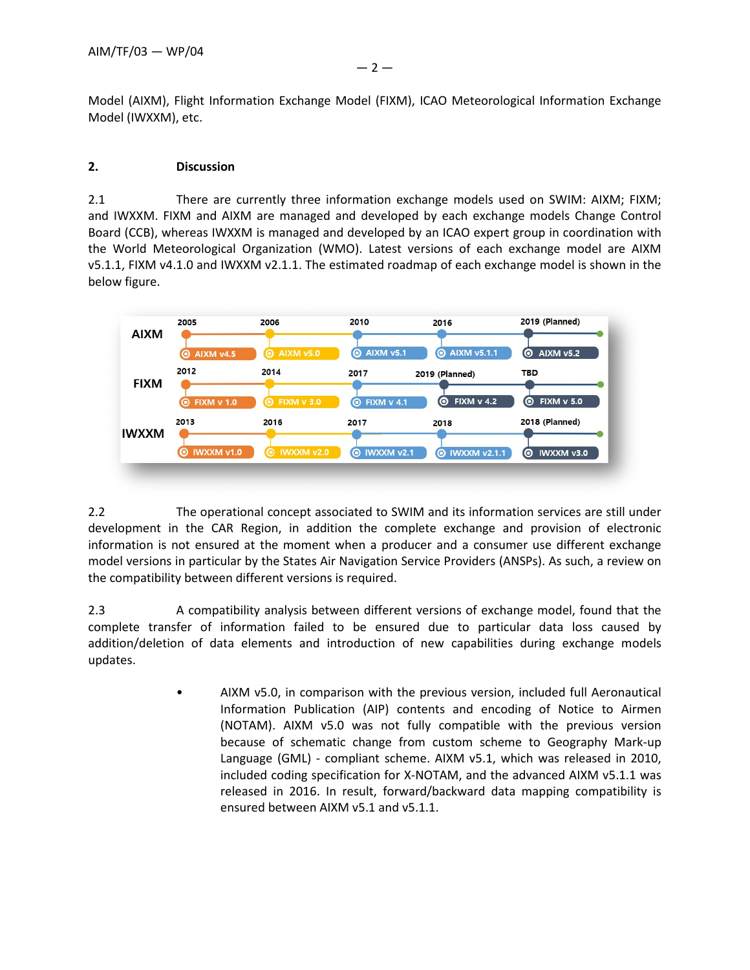Model (IWXXM), etc.

## **2. Discussion**

2.1 There are currently three information exchange models used on SWIM: AIXM; FIXM; and IWXXM. FIXM and AIXM are managed and developed by each exchange models Change Control Board (CCB), whereas IWXXM is managed and developed by an ICAO expert group in coordination with the World Meteorological Organization (WMO). Latest versions of each exchange model are AIXM v5.1.1, FIXM v4.1.0 and IWXXM v2.1.1. The estimated roadmap of each exchange model is shown in the below figure.

| <b>AIXM</b>  | 2005<br><b>AIXM v4.5</b><br>О  | 2006<br><b>6 AIXM v5.0</b>             | 2010<br><b>AIXM v5.1</b><br>$\bullet$  | 2016<br><b>@ AIXM v5.1.1</b>             | 2019 (Planned)<br><b>AIXM v5.2</b><br>0   |
|--------------|--------------------------------|----------------------------------------|----------------------------------------|------------------------------------------|-------------------------------------------|
| <b>FIXM</b>  | 2012<br><b>FIXM v 1.0</b><br>ၜ | 2014<br><b>FIXM v 3.0</b><br><u>(ဝ</u> | 2017<br><b>FIXM v 4.1</b><br>$\bullet$ | 2019 (Planned)<br><b>FIXM v 4.2</b><br>0 | <b>TBD</b><br><b>FIXM v 5.0</b><br>ၜ      |
| <b>IWXXM</b> | 2013<br>IWXXM v1.0<br>◉        | 2016<br><b>IWXXM v2.0</b><br>$\bullet$ | 2017<br><b>@ IWXXM v2.1</b>            | 2018<br><b>O IWXXM v2.1.1</b>            | 2018 (Planned)<br>IWXXM v3.0<br><u>(ဝ</u> |

2.2 The operational concept associated to SWIM and its information services are still under development in the CAR Region, in addition the complete exchange and provision of electronic information is not ensured at the moment when a producer and a consumer use different exchange model versions in particular by the States Air Navigation Service Providers (ANSPs). As such, a review on the compatibility between different versions is required.

2.3 A compatibility analysis between different versions of exchange model, found that the complete transfer of information failed to be ensured due to particular data loss caused by addition/deletion of data elements and introduction of new capabilities during exchange models updates.

> • AIXM v5.0, in comparison with the previous version, included full Aeronautical Information Publication (AIP) contents and encoding of Notice to Airmen (NOTAM). AIXM v5.0 was not fully compatible with the previous version because of schematic change from custom scheme to Geography Mark-up Language (GML) - compliant scheme. AIXM v5.1, which was released in 2010, included coding specification for X-NOTAM, and the advanced AIXM v5.1.1 was released in 2016. In result, forward/backward data mapping compatibility is ensured between AIXM v5.1 and v5.1.1.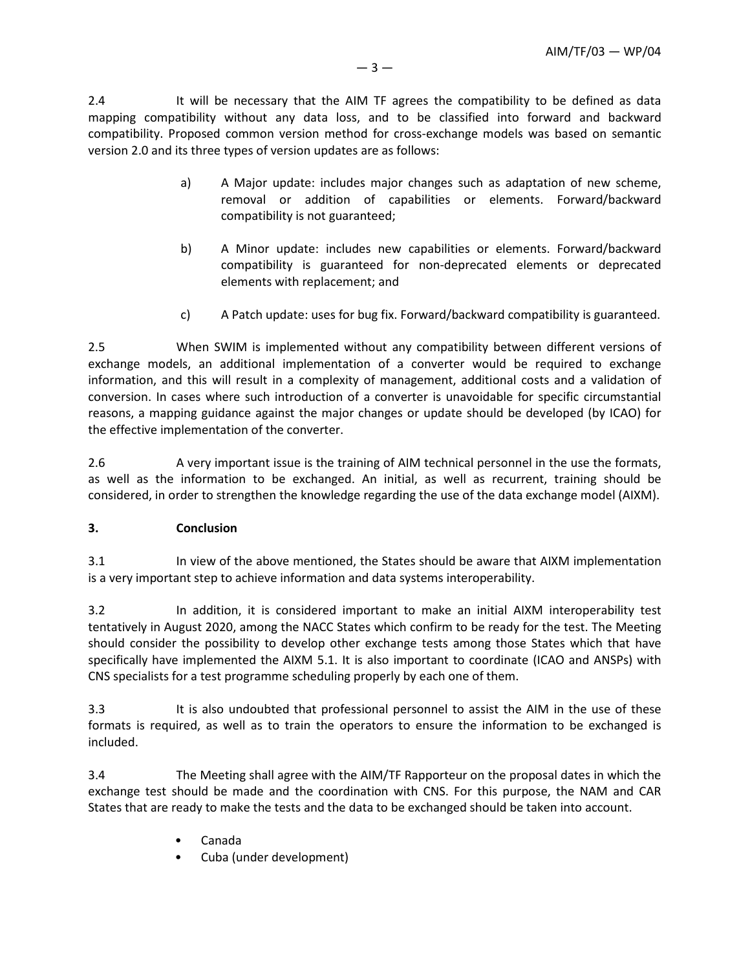2.4 It will be necessary that the AIM TF agrees the compatibility to be defined as data mapping compatibility without any data loss, and to be classified into forward and backward compatibility. Proposed common version method for cross-exchange models was based on semantic version 2.0 and its three types of version updates are as follows:

- a) A Major update: includes major changes such as adaptation of new scheme, removal or addition of capabilities or elements. Forward/backward compatibility is not guaranteed;
- b) A Minor update: includes new capabilities or elements. Forward/backward compatibility is guaranteed for non-deprecated elements or deprecated elements with replacement; and
- c) A Patch update: uses for bug fix. Forward/backward compatibility is guaranteed.

2.5 When SWIM is implemented without any compatibility between different versions of exchange models, an additional implementation of a converter would be required to exchange information, and this will result in a complexity of management, additional costs and a validation of conversion. In cases where such introduction of a converter is unavoidable for specific circumstantial reasons, a mapping guidance against the major changes or update should be developed (by ICAO) for the effective implementation of the converter.

2.6 A very important issue is the training of AIM technical personnel in the use the formats, as well as the information to be exchanged. An initial, as well as recurrent, training should be considered, in order to strengthen the knowledge regarding the use of the data exchange model (AIXM).

# **3. Conclusion**

3.1 In view of the above mentioned, the States should be aware that AIXM implementation is a very important step to achieve information and data systems interoperability.

3.2 In addition, it is considered important to make an initial AIXM interoperability test tentatively in August 2020, among the NACC States which confirm to be ready for the test. The Meeting should consider the possibility to develop other exchange tests among those States which that have specifically have implemented the AIXM 5.1. It is also important to coordinate (ICAO and ANSPs) with CNS specialists for a test programme scheduling properly by each one of them.

3.3 It is also undoubted that professional personnel to assist the AIM in the use of these formats is required, as well as to train the operators to ensure the information to be exchanged is included.

3.4 The Meeting shall agree with the AIM/TF Rapporteur on the proposal dates in which the exchange test should be made and the coordination with CNS. For this purpose, the NAM and CAR States that are ready to make the tests and the data to be exchanged should be taken into account.

- Canada
- Cuba (under development)